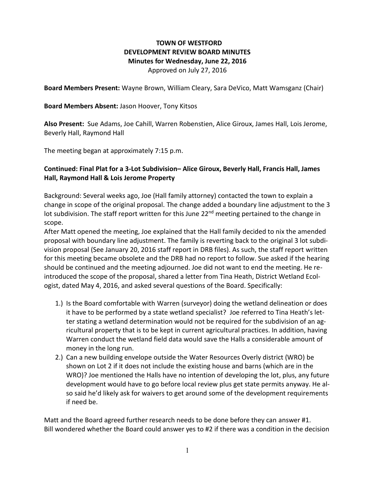# **TOWN OF WESTFORD DEVELOPMENT REVIEW BOARD MINUTES Minutes for Wednesday, June 22, 2016**

Approved on July 27, 2016

**Board Members Present:** Wayne Brown, William Cleary, Sara DeVico, Matt Wamsganz (Chair)

#### **Board Members Absent:** Jason Hoover, Tony Kitsos

**Also Present:** Sue Adams, Joe Cahill, Warren Robenstien, Alice Giroux, James Hall, Lois Jerome, Beverly Hall, Raymond Hall

The meeting began at approximately 7:15 p.m.

### **Continued: Final Plat for a 3-Lot Subdivision– Alice Giroux, Beverly Hall, Francis Hall, James Hall, Raymond Hall & Lois Jerome Property**

Background: Several weeks ago, Joe (Hall family attorney) contacted the town to explain a change in scope of the original proposal. The change added a boundary line adjustment to the 3 lot subdivision. The staff report written for this June 22<sup>nd</sup> meeting pertained to the change in scope.

After Matt opened the meeting, Joe explained that the Hall family decided to nix the amended proposal with boundary line adjustment. The family is reverting back to the original 3 lot subdivision proposal (See January 20, 2016 staff report in DRB files). As such, the staff report written for this meeting became obsolete and the DRB had no report to follow. Sue asked if the hearing should be continued and the meeting adjourned. Joe did not want to end the meeting. He reintroduced the scope of the proposal, shared a letter from Tina Heath, District Wetland Ecologist, dated May 4, 2016, and asked several questions of the Board. Specifically:

- 1.) Is the Board comfortable with Warren (surveyor) doing the wetland delineation or does it have to be performed by a state wetland specialist? Joe referred to Tina Heath's letter stating a wetland determination would not be required for the subdivision of an agricultural property that is to be kept in current agricultural practices. In addition, having Warren conduct the wetland field data would save the Halls a considerable amount of money in the long run.
- 2.) Can a new building envelope outside the Water Resources Overly district (WRO) be shown on Lot 2 if it does not include the existing house and barns (which are in the WRO)? Joe mentioned the Halls have no intention of developing the lot, plus, any future development would have to go before local review plus get state permits anyway. He also said he'd likely ask for waivers to get around some of the development requirements if need be.

Matt and the Board agreed further research needs to be done before they can answer #1. Bill wondered whether the Board could answer yes to #2 if there was a condition in the decision